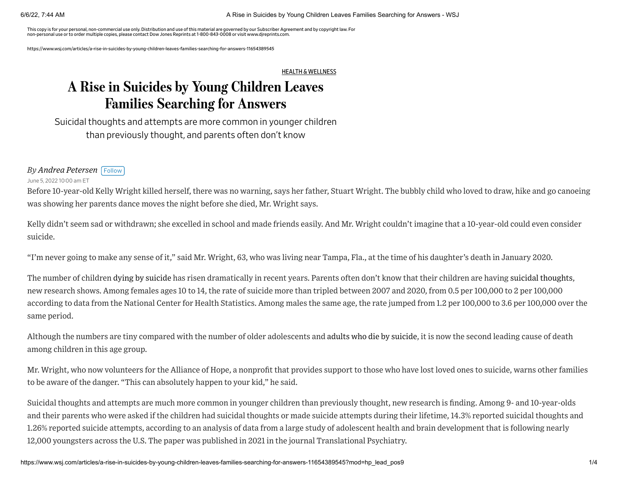This copy is for your personal, non-commercial use only. Distribution and use ofthis material are governed by our Subscriber Agreement and by copyrightlaw. For non-personal use orto order multiple copies, please contact Dow Jones Reprints at 1-800-843-0008 or visit www.djreprints.com.

https://www.wsj.com/articles/a-rise-in-suicides-by-young-children-leaves-families-searching-for-answers-11654389545

## HEALTH & [WELLNESS](https://www.wsj.com/news/types/health-wellness?mod=bigtop-breadcrumb)

# A Rise in Suicides by Young Children Leaves Families Searching for Answers

Suicidal thoughts and attempts are more common in younger children than previously thought, and parents often don't know

# *By Andrea [Petersen](https://www.wsj.com/news/author/andrea-petersen)* Follow

# June 5, 2022 10:00 am ET

Before 10-year-old Kelly Wright killed herself, there was no warning, says her father, Stuart Wright. The bubbly child who loved to draw, hike and go canoeing was showing her parents dance moves the night before she died, Mr. Wright says.

Kelly didn't seem sad or withdrawn; she excelled in school and made friends easily. And Mr. Wright couldn't imagine that a 10-year-old could even consider suicide.

"I'm never going to make any sense of it," said Mr. Wright, 63, who was living near Tampa, Fla., at the time of his daughter's death in January 2020.

The number of children dying by [suicide](https://www.wsj.com/articles/as-suicides-rise-more-attention-turns-to-the-people-left-behind-11575282602?mod=article_inline) has risen dramatically in recent years. Parents often don't know that their children are having suicidal [thoughts,](https://www.wsj.com/articles/what-parents-can-do-when-kids-have-suicidal-thoughts-11643864461?mod=article_inline) new research shows. Among females ages 10 to 14, the rate of suicide more than tripled between 2007 and 2020, from 0.5 per 100,000 to 2 per 100,000 according to data from the National Center for Health Statistics. Among males the same age, the rate jumped from 1.2 per 100,000 to 3.6 per 100,000 over the same period.

Although the numbers are tiny compared with the number of older adolescents and adults who die by [suicide](https://www.wsj.com/articles/amid-pandemic-more-u-s-adults-say-they-considered-suicide-11597362131?mod=article_inline), it is now the second leading cause of death among children in this age group.

Mr. Wright, who now volunteers for the Alliance of Hope, a nonprofit that provides support to those who have lost loved ones to suicide, warns other families to be aware of the danger. "This can absolutely happen to your kid," he said.

Suicidal thoughts and attempts are much more common in younger children than previously thought, new research is finding. Among 9- and 10-year-olds and their parents who were asked if the children had suicidal thoughts or made suicide attempts during their lifetime, 14.3% reported suicidal thoughts and 1.26% reported suicide attempts, according to an analysis of data from a large study of adolescent health and brain development that is following nearly 12,000 youngsters across the U.S. The paper was published in 2021 in the journal Translational Psychiatry.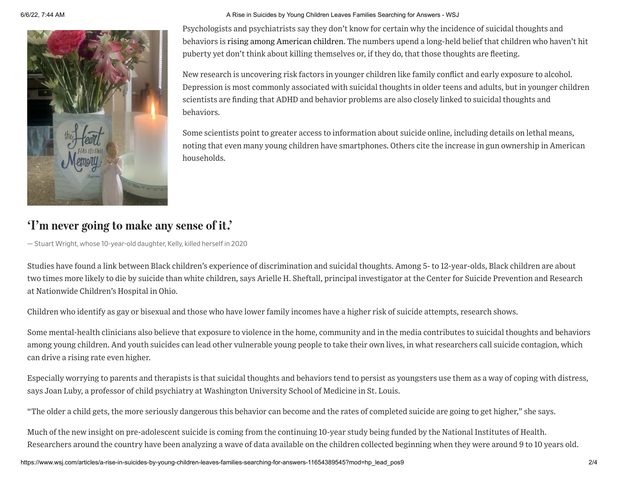

# 6/6/22, 7:44 AM A Rise in Suicides by Young Children Leaves Families Searching for Answers - WSJ

Psychologists and psychiatrists say they don't know for certain why the incidence of suicidal thoughts and behaviors is rising among [American](https://www.wsj.com/articles/youth-suicidal-behavior-is-on-the-rise-especially-among-girls-1526443782?mod=article_inline) children. The numbers upend a long-held belief that children who haven't hit puberty yet don't think about killing themselves or, if they do, that those thoughts are fleeting.

New research is uncovering risk factors in younger children like family conflict and early exposure to alcohol. Depression is most commonly associated with suicidal thoughts in older teens and adults, but in younger children scientists are finding that ADHD and behavior problems are also closely linked to suicidal thoughts and behaviors.

Some scientists point to greater access to information about suicide online, including details on lethal means, noting that even many young children have smartphones. Others cite the increase in gun ownership in American households.

# 'I'm never going to make any sense of it.'

— Stuart Wright, whose 10-year-old daughter, Kelly, killed herself in 2020

Studies have found a link between Black children's experience of discrimination and suicidal thoughts. Among 5- to 12-year-olds, Black children are about two times more likely to die by suicide than white children, says Arielle H. Sheftall, principal investigator at the Center for Suicide Prevention and Research at Nationwide Children's Hospital in Ohio.

Children who identify as gay or bisexual and those who have lower family incomes have a higher risk of suicide attempts, research shows.

Some mental-health clinicians also believe that exposure to violence in the home, community and in the media contributes to suicidal thoughts and behaviors among young children. And youth suicides can lead other vulnerable young people to take their own lives, in what researchers call suicide contagion, which can drive a rising rate even higher.

Especially worrying to parents and therapists is that suicidal thoughts and behaviors tend to persist as youngsters use them as a way of coping with distress, says Joan Luby, a professor of child psychiatry at Washington University School of Medicine in St. Louis.

"The older a child gets, the more seriously dangerous this behavior can become and the rates of completed suicide are going to get higher," she says.

Much of the new insight on pre-adolescent suicide is coming from the continuing 10-year study being funded by the National Institutes of Health. Researchers around the country have been analyzing a wave of data available on the children collected beginning when they were around 9 to 10 years old.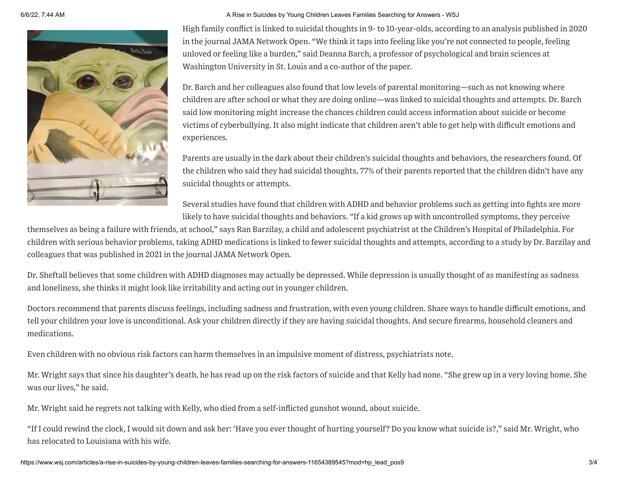# Baby Yode

# 6/6/22, 7:44 AM A Rise in Suicides by Young Children Leaves Families Searching for Answers - WSJ

High family conflict is linked to suicidal thoughts in 9- to 10-year-olds, according to an analysis published in 2020 in the journal JAMA Network Open. "We think it taps into feeling like you're not connected to people, feeling unloved or feeling like a burden," said Deanna Barch, a professor of psychological and brain sciences at Washington University in St. Louis and a co-author of the paper.

Dr. Barch and her colleagues also found that low levels of parental monitoring—such as not knowing where children are after school or what they are doing online—was linked to suicidal thoughts and attempts. Dr. Barch said low monitoring might increase the chances children could access information about suicide or become victims of cyberbullying. It also might indicate that children aren't able to get help with difficult emotions and experiences.

Parents are usually in the dark about their children's suicidal thoughts and behaviors, the researchers found. Of the children who said they had suicidal thoughts, 77% of their parents reported that the children didn't have any suicidal thoughts or attempts.

Several studies have found that children with ADHD and behavior problems such as getting into fights are more likely to have suicidal thoughts and behaviors. "If a kid grows up with uncontrolled symptoms, they perceive

themselves as being a failure with friends, at school," says Ran Barzilay, a child and adolescent psychiatrist at the Children's Hospital of Philadelphia. For children with serious behavior problems, taking ADHD medications is linked to fewer suicidal thoughts and attempts, according to a study by Dr. Barzilay and colleagues that was published in 2021 in the journal JAMA Network Open.

Dr. Sheftall believes that some children with ADHD diagnoses may actually be depressed. While depression is usually thought of as manifesting as sadness and loneliness, she thinks it might look like irritability and acting out in younger children.

Doctors recommend that parents discuss feelings, including sadness and frustration, with even young children. Share ways to handle difficult emotions, and tell your children your love is unconditional. Ask your children directly if they are having suicidal thoughts. And secure firearms, household cleaners and medications.

Even children with no obvious risk factors can harm themselves in an impulsive moment of distress, psychiatrists note.

Mr. Wright says that since his daughter's death, he has read up on the risk factors of suicide and that Kelly had none. "She grew up in a very loving home. She was our lives," he said.

Mr. Wright said he regrets not talking with Kelly, who died from a self-inflicted gunshot wound, about suicide.

"If I could rewind the clock, I would sit down and ask her: 'Have you ever thought of hurting yourself? Do you know what suicide is?," said Mr. Wright, who has relocated to Louisiana with his wife.